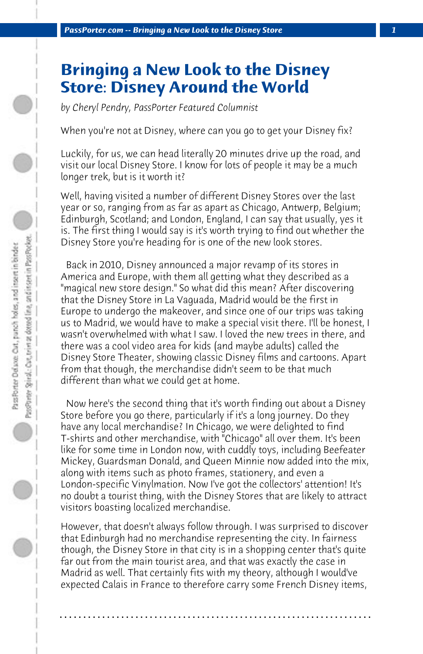## **Bringing a New Look to the Disney Store: Disney Around the World**

*by Cheryl Pendry, PassPorter Featured Columnist*

When you're not at Disney, where can you go to get your Disney fix?

Luckily, for us, we can head literally 20 minutes drive up the road, and visit our local Disney Store. I know for lots of people it may be a much longer trek, but is it worth it?

Well, having visited a number of different Disney Stores over the last year or so, ranging from as far as apart as Chicago, Antwerp, Belgium; Edinburgh, Scotland; and London, England, I can say that usually, yes it is. The first thing I would say is it's worth trying to find out whether the Disney Store you're heading for is one of the new look stores.

 Back in 2010, Disney announced a major revamp of its stores in America and Europe, with them all getting what they described as a "magical new store design." So what did this mean? After discovering that the Disney Store in La Vaguada, Madrid would be the first in Europe to undergo the makeover, and since one of our trips was taking us to Madrid, we would have to make a special visit there. I'll be honest, I wasn't overwhelmed with what I saw. I loved the new trees in there, and there was a cool video area for kids (and maybe adults) called the Disney Store Theater, showing classic Disney films and cartoons. Apart from that though, the merchandise didn't seem to be that much different than what we could get at home.

 Now here's the second thing that it's worth finding out about a Disney Store before you go there, particularly if it's a long journey. Do they have any local merchandise? In Chicago, we were delighted to find T-shirts and other merchandise, with "Chicago" all over them. It's been like for some time in London now, with cuddly toys, including Beefeater Mickey, Guardsman Donald, and Queen Minnie now added into the mix, along with items such as photo frames, stationery, and even a London-specific Vinylmation. Now I've got the collectors' attention! It's no doubt a tourist thing, with the Disney Stores that are likely to attract visitors boasting localized merchandise.

However, that doesn't always follow through. I was surprised to discover that Edinburgh had no merchandise representing the city. In fairness though, the Disney Store in that city is in a shopping center that's quite far out from the main tourist area, and that was exactly the case in Madrid as well. That certainly fits with my theory, although I would've expected Calais in France to therefore carry some French Disney items,

**. . . . . . . . . . . . . . . . . . . . . . . . . . . . . . . . . . . . . . . . . . . . . . . . . . . . . . . . . . . . . . . . . .**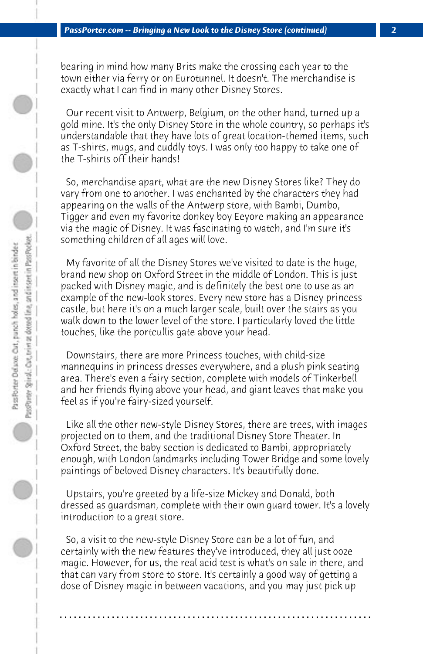bearing in mind how many Brits make the crossing each year to the town either via ferry or on Eurotunnel. It doesn't. The merchandise is exactly what I can find in many other Disney Stores.

 Our recent visit to Antwerp, Belgium, on the other hand, turned up a gold mine. It's the only Disney Store in the whole country, so perhaps it's understandable that they have lots of great location-themed items, such as T-shirts, mugs, and cuddly toys. I was only too happy to take one of the T-shirts off their hands!

 So, merchandise apart, what are the new Disney Stores like? They do vary from one to another. I was enchanted by the characters they had appearing on the walls of the Antwerp store, with Bambi, Dumbo, Tigger and even my favorite donkey boy Eeyore making an appearance via the magic of Disney. It was fascinating to watch, and I'm sure it's something children of all ages will love.

 My favorite of all the Disney Stores we've visited to date is the huge, brand new shop on Oxford Street in the middle of London. This is just packed with Disney magic, and is definitely the best one to use as an example of the new-look stores. Every new store has a Disney princess castle, but here it's on a much larger scale, built over the stairs as you walk down to the lower level of the store. I particularly loved the little touches, like the portcullis gate above your head.

 Downstairs, there are more Princess touches, with child-size mannequins in princess dresses everywhere, and a plush pink seating area. There's even a fairy section, complete with models of Tinkerbell and her friends flying above your head, and giant leaves that make you feel as if you're fairy-sized yourself.

 Like all the other new-style Disney Stores, there are trees, with images projected on to them, and the traditional Disney Store Theater. In Oxford Street, the baby section is dedicated to Bambi, appropriately enough, with London landmarks including Tower Bridge and some lovely paintings of beloved Disney characters. It's beautifully done.

 Upstairs, you're greeted by a life-size Mickey and Donald, both dressed as guardsman, complete with their own guard tower. It's a lovely introduction to a great store.

 So, a visit to the new-style Disney Store can be a lot of fun, and certainly with the new features they've introduced, they all just ooze magic. However, for us, the real acid test is what's on sale in there, and that can vary from store to store. It's certainly a good way of getting a dose of Disney magic in between vacations, and you may just pick up

**. . . . . . . . . . . . . . . . . . . . . . . . . . . . . . . . . . . . . . . . . . . . . . . . . . . . . . . . . . . . . . . . . .**